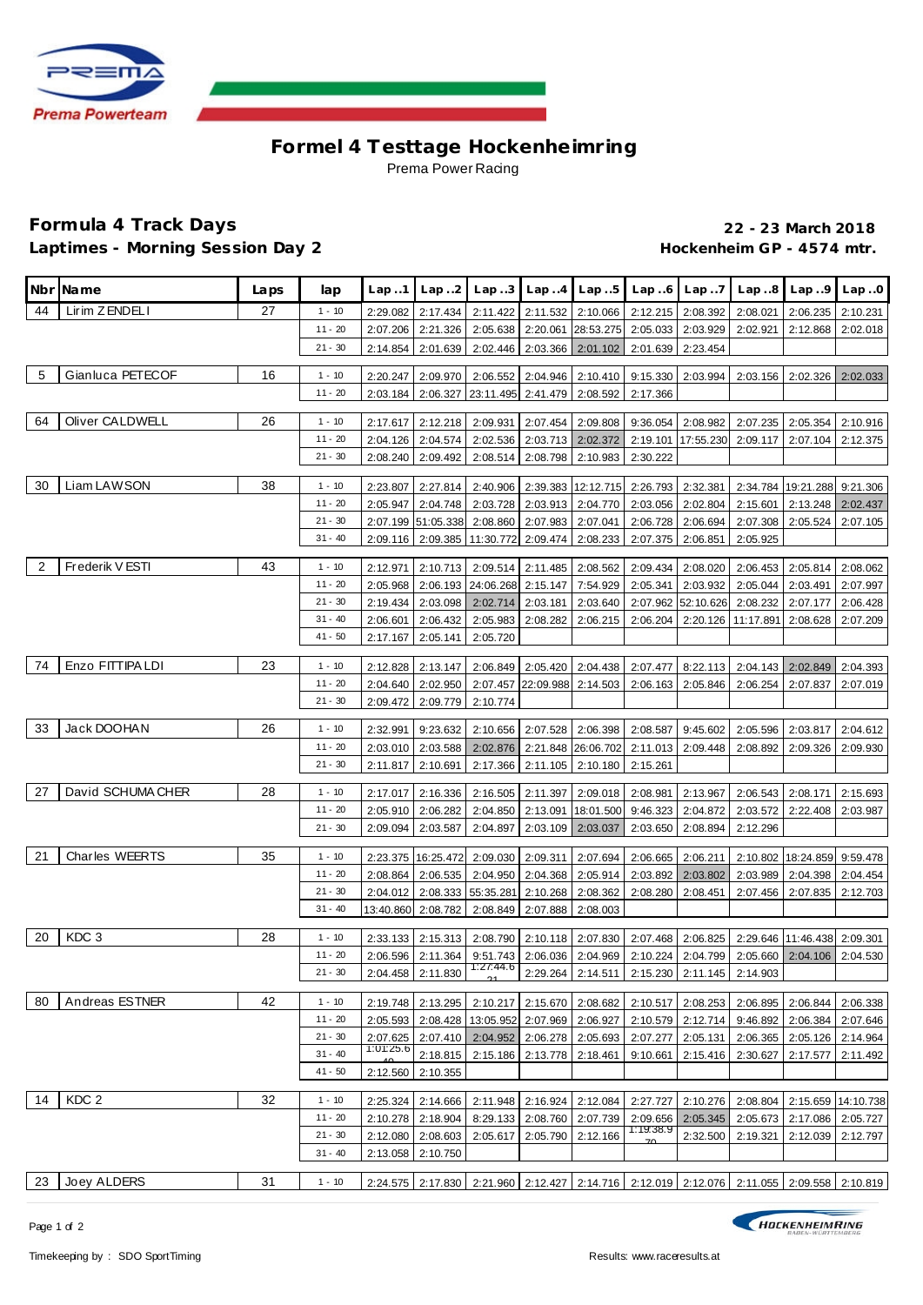

## **Formel 4 Testtage Hockenhe imring** Prema Power Racing

## **Formula 4 Track Days 22 - 23 March 2018** Laptimes - Morning Session Day 2 **Accession 1997** Mackenheim GP - 4574 mtr.

|    | Nbr Name              | Laps | lap                    | Lap.1     | Lap.2              | Lap.3                                                 |                            |                                 | $Lap. .4$ $Lap. .5$ $Lap. .6$ $Lap. .7$                                         |                    |                                                                                           | $Lap.8$ $Lap.9$             | Lap.0              |
|----|-----------------------|------|------------------------|-----------|--------------------|-------------------------------------------------------|----------------------------|---------------------------------|---------------------------------------------------------------------------------|--------------------|-------------------------------------------------------------------------------------------|-----------------------------|--------------------|
| 44 | Lirim ZENDELI         | 27   | $1 - 10$               | 2:29.082  | 2:17.434           | 2:11.422                                              |                            | 2:11.532 2:10.066               | 2:12.215 2:08.392                                                               |                    | 2:08.021                                                                                  | 2:06.235                    | 2:10.231           |
|    |                       |      | $11 - 20$              | 2:07.206  | 2:21.326           | 2:05.638                                              |                            | 2:20.061 28:53.275              | 2:05.033                                                                        | 2:03.929           | 2:02.921                                                                                  | 2:12.868                    | 2:02.018           |
|    |                       |      | $21 - 30$              | 2:14.854  | 2:01.639           |                                                       |                            | 2:02.446 2:03.366 2:01.102      | 2:01.639                                                                        | 2:23.454           |                                                                                           |                             |                    |
| 5  | Gianluca PETECOF      | 16   | $1 - 10$               | 2:20.247  | 2:09.970           |                                                       |                            |                                 | 2:06.552 2:04.946 2:10.410 9:15.330 2:03.994                                    |                    | 2:03.156                                                                                  | 2:02.326                    | 2:02.033           |
|    |                       |      | $11 - 20$              | 2:03.184  | 2:06.327           | 23:11.495 2:41.479 2:08.592                           |                            |                                 | 2:17.366                                                                        |                    |                                                                                           |                             |                    |
|    |                       |      |                        |           |                    |                                                       |                            |                                 |                                                                                 |                    |                                                                                           |                             |                    |
| 64 | Oliver CALDWELL       | 26   | $1 - 10$               | 2:17.617  | 2:12.218           | 2:09.931                                              |                            | 2:07.454 2:09.808               |                                                                                 | 9:36.054 2:08.982  |                                                                                           | 2:07.235 2:05.354           | 2:10.916           |
|    |                       |      | $11 - 20$<br>$21 - 30$ | 2:04.126  | 2:04.574           |                                                       |                            | 2:02.536 2:03.713 2:02.372      |                                                                                 | 2:19.101 17:55.230 | 2:09.117 2:07.104                                                                         |                             | 2:12.375           |
|    |                       |      |                        | 2:08.240  | 2:09.492           |                                                       |                            | 2:08.514 2:08.798 2:10.983      | 2:30.222                                                                        |                    |                                                                                           |                             |                    |
| 30 | Liam LAWSON           | 38   | $1 - 10$               | 2:23.807  | 2:27.814           |                                                       |                            |                                 | 2:40.906 2:39.383 12:12.715 2:26.793 2:32.381                                   |                    |                                                                                           | 2:34.784 19:21.288 9:21.306 |                    |
|    |                       |      | $11 - 20$              | 2:05.947  | 2:04.748           |                                                       |                            | 2:03.728 2:03.913 2:04.770      | 2:03.056 2:02.804                                                               |                    | 2:15.601                                                                                  | 2:13.248                    | 2:02.437           |
|    |                       |      | $21 - 30$              |           | 2:07.199 51:05.338 | 2:08.860                                              | 2:07.983                   | 2:07.041                        | 2:06.728                                                                        | 2:06.694           | 2:07.308                                                                                  | 2:05.524                    | 2:07.105           |
|    |                       |      | $31 - 40$              | 2:09.116  | 2:09.385           | 11:30.772 2:09.474                                    |                            | 2:08.233                        | 2:07.375                                                                        | 2:06.851           | 2:05.925                                                                                  |                             |                    |
| 2  | Frederik V ESTI       | 43   | $1 - 10$               | 2:12.971  | 2:10.713           |                                                       |                            | 2:09.514 2:11.485 2:08.562      | 2:09.434                                                                        | 2:08.020           | 2:06.453                                                                                  | 2:05.814                    | 2:08.062           |
|    |                       |      | $11 - 20$              | 2:05.968  | 2:06.193           | 24:06.268 2:15.147                                    |                            | 7:54.929                        | 2:05.341                                                                        | 2:03.932           | 2:05.044                                                                                  | 2:03.491                    | 2:07.997           |
|    |                       |      | $21 - 30$              | 2:19.434  | 2:03.098           | 2:02.714                                              | 2:03.181                   | 2:03.640                        |                                                                                 | 2:07.962 52:10.626 | 2:08.232                                                                                  | 2:07.177                    | 2:06.428           |
|    |                       |      | $31 - 40$              | 2:06.601  | 2:06.432           |                                                       | 2:05.983 2:08.282          | 2:06.215                        | 2:06.204                                                                        | 2:20.126           | 11:17.891                                                                                 | 2:08.628                    | 2:07.209           |
|    |                       |      | $41 - 50$              | 2:17.167  | 2:05.141           | 2:05.720                                              |                            |                                 |                                                                                 |                    |                                                                                           |                             |                    |
|    |                       |      |                        |           |                    |                                                       |                            |                                 |                                                                                 |                    |                                                                                           |                             |                    |
| 74 | Enzo FITTIPA LDI      | 23   | $1 - 10$               | 2:12.828  | 2:13.147           |                                                       |                            | 2:06.849 2:05.420 2:04.438      | 2:07.477                                                                        | 8:22.113           |                                                                                           | 2:04.143 2:02.849           | 2:04.393           |
|    |                       |      | $11 - 20$              | 2:04.640  | 2:02.950           |                                                       |                            | 2:07.457 22:09.988 2:14.503     | 2:06.163                                                                        | 2:05.846           | 2:06.254                                                                                  | 2:07.837                    | 2:07.019           |
|    |                       |      | $21 - 30$              | 2:09.472  | 2:09.779           | 2:10.774                                              |                            |                                 |                                                                                 |                    |                                                                                           |                             |                    |
| 33 | Jack DOOHAN           | 26   | $1 - 10$               | 2:32.991  | 9:23.632           |                                                       |                            |                                 | 2:10.656   2:07.528   2:06.398   2:08.587   9:45.602                            |                    | 2:05.596                                                                                  | 2:03.817                    | 2:04.612           |
|    |                       |      | $11 - 20$              | 2:03.010  | 2:03.588           |                                                       |                            |                                 | 2:02.876   2:21.848   26:06.702   2:11.013   2:09.448                           |                    | 2:08.892                                                                                  | 2:09.326                    | 2:09.930           |
|    |                       |      | $21 - 30$              | 2:11.817  | 2:10.691           |                                                       |                            | 2:17.366 2:11.105 2:10.180      | 2:15.261                                                                        |                    |                                                                                           |                             |                    |
| 27 | David SCHUMA CHER     | 28   | $1 - 10$               | 2:17.017  | 2:16.336           |                                                       |                            |                                 | 2:16.505 2:11.397 2:09.018 2:08.981                                             | 2:13.967           |                                                                                           | 2:06.543 2:08.171           | 2:15.693           |
|    |                       |      | $11 - 20$              | 2:05.910  | 2:06.282           |                                                       |                            | 2:04.850   2:13.091   18:01.500 | 9:46.323                                                                        | 2:04.872           | 2:03.572                                                                                  | 2:22.408                    | 2:03.987           |
|    |                       |      | $21 - 30$              | 2:09.094  | 2:03.587           | 2:04.897                                              |                            | 2:03.109 2:03.037               | 2:03.650                                                                        | 2:08.894           | 2:12.296                                                                                  |                             |                    |
|    |                       |      |                        |           |                    |                                                       |                            |                                 |                                                                                 |                    |                                                                                           |                             |                    |
| 21 | <b>Charles WEERTS</b> | 35   | $1 - 10$               |           |                    | 2:23.375   16:25.472   2:09.030   2:09.311   2:07.694 |                            |                                 | 2:06.665                                                                        | 2:06.211           |                                                                                           | 2:10.802 18:24.859 9:59.478 |                    |
|    |                       |      | $11 - 20$              | 2:08.864  | 2:06.535           | 2:04.950                                              | 2:04.368                   | 2:05.914                        | 2:03.892                                                                        | 2:03.802           | 2:03.989                                                                                  | 2:04.398                    | 2:04.454           |
|    |                       |      | $21 - 30$<br>$31 - 40$ | 2:04.012  | 2:08.333           | 55:35.281                                             | 2:10.268                   | 2:08.362                        | 2:08.280                                                                        | 2:08.451           | 2:07.456                                                                                  | 2:07.835                    | 2:12.703           |
|    |                       |      |                        |           | 13:40.860 2:08.782 | 2:08.849                                              | 2:07.888                   | 2:08.003                        |                                                                                 |                    |                                                                                           |                             |                    |
| 20 | KDC <sub>3</sub>      | 28   | $1 - 10$               | 2:33.133  | 2:15.313           |                                                       |                            | 2:08.790 2:10.118 2:07.830      |                                                                                 | 2:07.468 2:06.825  |                                                                                           | 2:29.646 11:46.438 2:09.301 |                    |
|    |                       |      | $11 - 20$              | 2:06.596  | 2:11.364           |                                                       |                            | 9:51.743 2:06.036 2:04.969      | 2:10.224                                                                        | 2:04.799           | 2:05.660                                                                                  | 2:04.106                    | 2:04.530           |
|    |                       |      | $21 - 30$              |           | 2:04.458 2:11.830  | 1:27:44.6                                             |                            |                                 | $\mid$ 2:29.264 $\mid$ 2:14.511 $\mid$ 2:15.230 $\mid$ 2:11.145 $\mid$ 2:14.903 |                    |                                                                                           |                             |                    |
| 80 | Andreas ESTNER        | 42   | $1 - 10$               | 2:19.748  | 2:13.295           |                                                       |                            | 2:10.217 2:15.670 2:08.682      |                                                                                 | 2:10.517 2:08.253  | 2:06.895                                                                                  | 2:06.844                    | 2:06.338           |
|    |                       |      | $11 - 20$              | 2:05.593  |                    | 2:08.428   13:05.952   2:07.969   2:06.927            |                            |                                 |                                                                                 |                    | 2:10.579 2:12.714 9:46.892                                                                | 2:06.384                    | 2:07.646           |
|    |                       |      | $21 - 30$              | 2:07.625  | 2:07.410           |                                                       |                            | 2:04.952 2:06.278 2:05.693      | 2:07.277                                                                        | 2:05.131           | 2:06.365                                                                                  | 2:05.126                    | 2:14.964           |
|    |                       |      | $31 - 40$              | 1:01:25.6 | 2:18.815           |                                                       |                            | 2:15.186 2:13.778 2:18.461      | 9:10.661                                                                        | 2:15.416           | 2:30.627                                                                                  | 2:17.577                    | 2:11.492           |
|    |                       |      | $41 - 50$              | 2:12.560  | 2:10.355           |                                                       |                            |                                 |                                                                                 |                    |                                                                                           |                             |                    |
| 14 | KDC <sub>2</sub>      | 32   | $1 - 10$               | 2:25.324  | 2:14.666           |                                                       |                            |                                 | 2:11.948 2:16.924 2:12.084 2:27.727                                             | 2:10.276           | 2:08.804                                                                                  |                             | 2:15.659 14:10.738 |
|    |                       |      | $11 - 20$              | 2:10.278  | 2:18.904           |                                                       |                            | 8:29.133 2:08.760 2:07.739      | 2:09.656                                                                        | 2:05.345           | 2:05.673                                                                                  | 2:17.086                    | 2:05.727           |
|    |                       |      | $21 - 30$              | 2:12.080  | 2:08.603           |                                                       | 2:05.617 2:05.790 2:12.166 |                                 | 1:19:38.9                                                                       | 2:32.500           | 2:19.321                                                                                  | 2:12.039                    | 2:12.797           |
|    |                       |      | $31 - 40$              | 2:13.058  | 2:10.750           |                                                       |                            |                                 |                                                                                 |                    |                                                                                           |                             |                    |
|    |                       |      |                        |           |                    |                                                       |                            |                                 |                                                                                 |                    |                                                                                           |                             |                    |
| 23 | Joey ALDERS           | 31   | $1 - 10$               |           |                    |                                                       |                            |                                 |                                                                                 |                    | 2:24.575 2:17.830 2:21.960 2:12.427 2:14.716 2:12.019 2:12.076 2:11.055 2:09.558 2:10.819 |                             |                    |